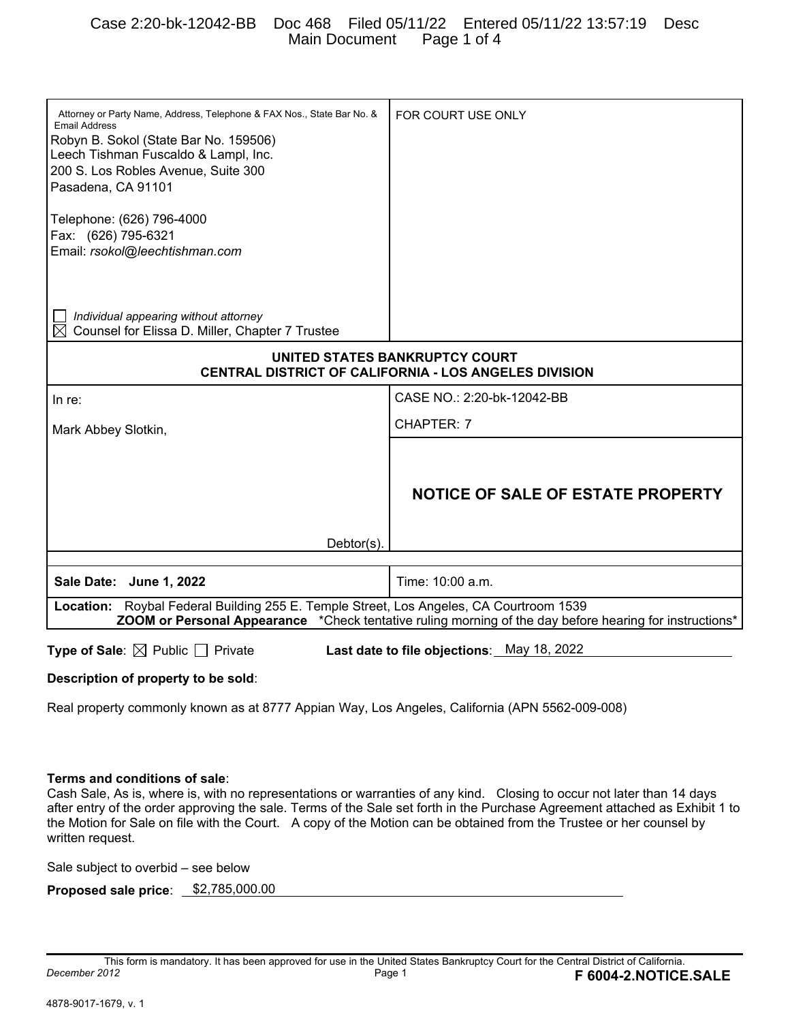## Case 2:20-bk-12042-BB Doc 468 Filed 05/11/22 Entered 05/11/22 13:57:19 Desc Main Document

| Attorney or Party Name, Address, Telephone & FAX Nos., State Bar No. &<br><b>Email Address</b>                 | FOR COURT USE ONLY                                           |  |  |
|----------------------------------------------------------------------------------------------------------------|--------------------------------------------------------------|--|--|
| Robyn B. Sokol (State Bar No. 159506)                                                                          |                                                              |  |  |
| Leech Tishman Fuscaldo & Lampl, Inc.                                                                           |                                                              |  |  |
| 200 S. Los Robles Avenue, Suite 300                                                                            |                                                              |  |  |
| Pasadena, CA 91101                                                                                             |                                                              |  |  |
|                                                                                                                |                                                              |  |  |
| Telephone: (626) 796-4000                                                                                      |                                                              |  |  |
| Fax: (626) 795-6321                                                                                            |                                                              |  |  |
| Email: rsokol@leechtishman.com                                                                                 |                                                              |  |  |
|                                                                                                                |                                                              |  |  |
|                                                                                                                |                                                              |  |  |
|                                                                                                                |                                                              |  |  |
| Individual appearing without attorney<br>Counsel for Elissa D. Miller, Chapter 7 Trustee                       |                                                              |  |  |
|                                                                                                                |                                                              |  |  |
| UNITED STATES BANKRUPTCY COURT                                                                                 |                                                              |  |  |
|                                                                                                                | <b>CENTRAL DISTRICT OF CALIFORNIA - LOS ANGELES DIVISION</b> |  |  |
| In re:                                                                                                         | CASE NO.: 2:20-bk-12042-BB                                   |  |  |
| Mark Abbey Slotkin,                                                                                            | CHAPTER: 7                                                   |  |  |
|                                                                                                                |                                                              |  |  |
|                                                                                                                |                                                              |  |  |
|                                                                                                                | NOTICE OF SALE OF ESTATE PROPERTY                            |  |  |
|                                                                                                                |                                                              |  |  |
|                                                                                                                |                                                              |  |  |
| Debtor(s).                                                                                                     |                                                              |  |  |
|                                                                                                                |                                                              |  |  |
| Sale Date: June 1, 2022                                                                                        | Time: 10:00 a.m.                                             |  |  |
|                                                                                                                |                                                              |  |  |
| Location: Roybal Federal Building 255 E. Temple Street, Los Angeles, CA Courtroom 1539                         |                                                              |  |  |
| <b>ZOOM or Personal Appearance</b> *Check tentative ruling morning of the day before hearing for instructions* |                                                              |  |  |
| <b>Type of Sale:</b> $\boxtimes$ Public $\Box$ Private<br>Last date to file objections: May 18, 2022           |                                                              |  |  |
| Desembatten of more controls has salah                                                                         |                                                              |  |  |

**Description of property to be sold**:

Real property commonly known as at 8777 Appian Way, Los Angeles, California (APN 5562-009-008)

#### **Terms and conditions of sale**:

Cash Sale, As is, where is, with no representations or warranties of any kind. Closing to occur not later than 14 days after entry of the order approving the sale. Terms of the Sale set forth in the Purchase Agreement attached as Exhibit 1 to the Motion for Sale on file with the Court. A copy of the Motion can be obtained from the Trustee or her counsel by written request.

Sale subject to overbid – see below

**Proposed sale price:** \$2,785,000.00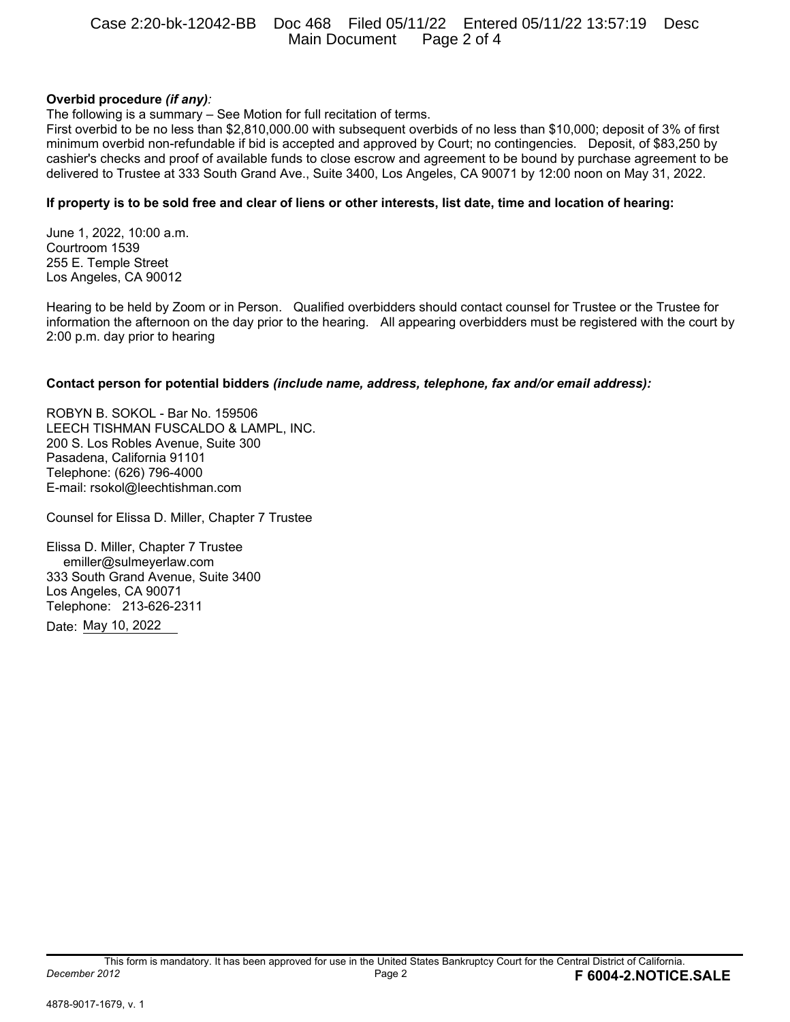## Case 2:20-bk-12042-BB Doc 468 Filed 05/11/22 Entered 05/11/22 13:57:19 Desc Main Document Page 2 of 4

## **Overbid procedure** *(if any):*

The following is a summary – See Motion for full recitation of terms.

First overbid to be no less than \$2,810,000.00 with subsequent overbids of no less than \$10,000; deposit of 3% of first minimum overbid non-refundable if bid is accepted and approved by Court; no contingencies. Deposit, of \$83,250 by cashier's checks and proof of available funds to close escrow and agreement to be bound by purchase agreement to be delivered to Trustee at 333 South Grand Ave., Suite 3400, Los Angeles, CA 90071 by 12:00 noon on May 31, 2022.

### **If property is to be sold free and clear of liens or other interests, list date, time and location of hearing:**

June 1, 2022, 10:00 a.m. Courtroom 1539 255 E. Temple Street Los Angeles, CA 90012

Hearing to be held by Zoom or in Person. Qualified overbidders should contact counsel for Trustee or the Trustee for information the afternoon on the day prior to the hearing. All appearing overbidders must be registered with the court by 2:00 p.m. day prior to hearing

#### **Contact person for potential bidders** *(include name, address, telephone, fax and/or email address):*

ROBYN B. SOKOL - Bar No. 159506 LEECH TISHMAN FUSCALDO & LAMPL, INC. 200 S. Los Robles Avenue, Suite 300 Pasadena, California 91101 Telephone: (626) 796-4000 E-mail: rsokol@leechtishman.com

Counsel for Elissa D. Miller, Chapter 7 Trustee

Elissa D. Miller, Chapter 7 Trustee emiller@sulmeyerlaw.com 333 South Grand Avenue, Suite 3400 Los Angeles, CA 90071 Telephone: 213-626-2311 Date: May 10, 2022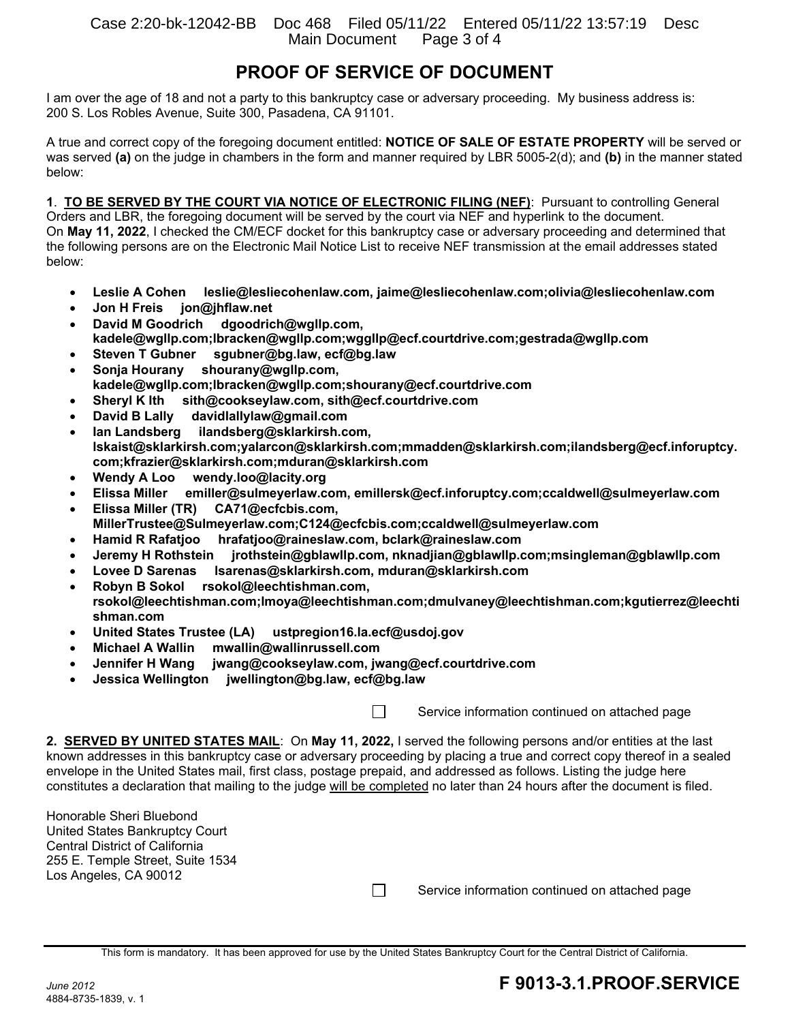# **PROOF OF SERVICE OF DOCUMENT**

I am over the age of 18 and not a party to this bankruptcy case or adversary proceeding. My business address is: 200 S. Los Robles Avenue, Suite 300, Pasadena, CA 91101.

A true and correct copy of the foregoing document entitled: **NOTICE OF SALE OF ESTATE PROPERTY** will be served or was served **(a)** on the judge in chambers in the form and manner required by LBR 5005-2(d); and **(b)** in the manner stated below:

**1**. **TO BE SERVED BY THE COURT VIA NOTICE OF ELECTRONIC FILING (NEF)**: Pursuant to controlling General Orders and LBR, the foregoing document will be served by the court via NEF and hyperlink to the document. On **May 11, 2022**, I checked the CM/ECF docket for this bankruptcy case or adversary proceeding and determined that the following persons are on the Electronic Mail Notice List to receive NEF transmission at the email addresses stated below:

- **Leslie A Cohen leslie@lesliecohenlaw.com, jaime@lesliecohenlaw.com;olivia@lesliecohenlaw.com**
- **Jon H Freis jon@jhflaw.net**
- **David M Goodrich dgoodrich@wgllp.com, kadele@wgllp.com;lbracken@wgllp.com;wggllp@ecf.courtdrive.com;gestrada@wgllp.com**
- **Steven T Gubner sgubner@bg.law, ecf@bg.law**
- **Sonja Hourany shourany@wgllp.com,**
- **kadele@wgllp.com;lbracken@wgllp.com;shourany@ecf.courtdrive.com**
- **Sheryl K Ith sith@cookseylaw.com, sith@ecf.courtdrive.com**
- **David B Lally davidlallylaw@gmail.com**
- **Ian Landsberg ilandsberg@sklarkirsh.com, lskaist@sklarkirsh.com;yalarcon@sklarkirsh.com;mmadden@sklarkirsh.com;ilandsberg@ecf.inforuptcy. com;kfrazier@sklarkirsh.com;mduran@sklarkirsh.com**
- **Wendy A Loo wendy.loo@lacity.org**
- **Elissa Miller emiller@sulmeyerlaw.com, emillersk@ecf.inforuptcy.com;ccaldwell@sulmeyerlaw.com**
- **Elissa Miller (TR) CA71@ecfcbis.com, MillerTrustee@Sulmeyerlaw.com;C124@ecfcbis.com;ccaldwell@sulmeyerlaw.com**
- **Hamid R Rafatjoo hrafatjoo@raineslaw.com, bclark@raineslaw.com**
- **Jeremy H Rothstein jrothstein@gblawllp.com, nknadjian@gblawllp.com;msingleman@gblawllp.com**
- **Lovee D Sarenas lsarenas@sklarkirsh.com, mduran@sklarkirsh.com**
- **Robyn B Sokol rsokol@leechtishman.com,**
- **rsokol@leechtishman.com;lmoya@leechtishman.com;dmulvaney@leechtishman.com;kgutierrez@leechti shman.com**
- **United States Trustee (LA) ustpregion16.la.ecf@usdoj.gov**
- **Michael A Wallin mwallin@wallinrussell.com**
- **Jennifer H Wang jwang@cookseylaw.com, jwang@ecf.courtdrive.com**
- **Jessica Wellington jwellington@bg.law, ecf@bg.law**

 $\Box$  Service information continued on attached page

**2. SERVED BY UNITED STATES MAIL**: On **May 11, 2022,** I served the following persons and/or entities at the last known addresses in this bankruptcy case or adversary proceeding by placing a true and correct copy thereof in a sealed envelope in the United States mail, first class, postage prepaid, and addressed as follows. Listing the judge here constitutes a declaration that mailing to the judge will be completed no later than 24 hours after the document is filed.

Honorable Sheri Bluebond United States Bankruptcy Court Central District of California 255 E. Temple Street, Suite 1534 Los Angeles, CA 90012

 $\Box$  Service information continued on attached page

This form is mandatory. It has been approved for use by the United States Bankruptcy Court for the Central District of California.